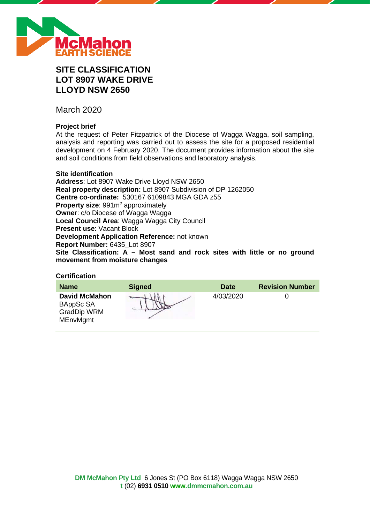

# **SITE CLASSIFICATION LOT 8907 WAKE DRIVE LLOYD NSW 2650**

March 2020

# **Project brief**

At the request of Peter Fitzpatrick of the Diocese of Wagga Wagga, soil sampling, analysis and reporting was carried out to assess the site for a proposed residential development on 4 February 2020. The document provides information about the site and soil conditions from field observations and laboratory analysis.

# **Site identification**

**Address**: Lot 8907 Wake Drive Lloyd NSW 2650 **Real property description:** Lot 8907 Subdivision of DP 1262050 **Centre co-ordinate:** 530167 6109843 MGA GDA z55 **Property size:** 991m<sup>2</sup> approximately **Owner**: c/o Diocese of Wagga Wagga **Local Council Area**: Wagga Wagga City Council **Present use**: Vacant Block **Development Application Reference:** not known **Report Number:** 6435\_Lot 8907 **Site Classification: A – Most sand and rock sites with little or no ground movement from moisture changes**

# **Certification**

| <b>Name</b>                                                                | <b>Signed</b> | <b>Date</b> | <b>Revision Number</b> |
|----------------------------------------------------------------------------|---------------|-------------|------------------------|
| <b>David McMahon</b><br>BAppSc SA<br><b>GradDip WRM</b><br><b>MEnvMgmt</b> |               | 4/03/2020   |                        |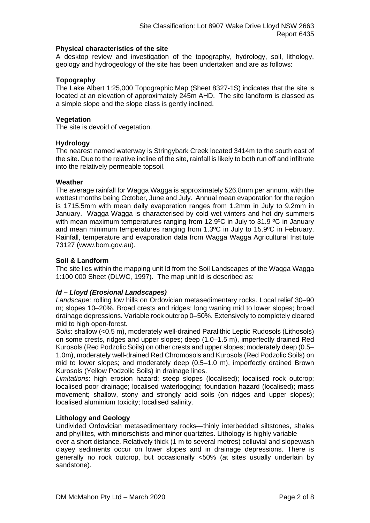# **Physical characteristics of the site**

A desktop review and investigation of the topography, hydrology, soil, lithology, geology and hydrogeology of the site has been undertaken and are as follows:

# **Topography**

The Lake Albert 1:25,000 Topographic Map (Sheet 8327-1S) indicates that the site is located at an elevation of approximately 245m AHD. The site landform is classed as a simple slope and the slope class is gently inclined.

# **Vegetation**

The site is devoid of vegetation.

# **Hydrology**

The nearest named waterway is Stringybark Creek located 3414m to the south east of the site. Due to the relative incline of the site, rainfall is likely to both run off and infiltrate into the relatively permeable topsoil.

# **Weather**

The average rainfall for Wagga Wagga is approximately 526.8mm per annum, with the wettest months being October, June and July. Annual mean evaporation for the region is 1715.5mm with mean daily evaporation ranges from 1.2mm in July to 9.2mm in January. Wagga Wagga is characterised by cold wet winters and hot dry summers with mean maximum temperatures ranging from 12.9°C in July to 31.9 °C in January and mean minimum temperatures ranging from 1.3ºC in July to 15.9ºC in February. Rainfall, temperature and evaporation data from Wagga Wagga Agricultural Institute 73127 (www.bom.gov.au).

# **Soil & Landform**

The site lies within the mapping unit ld from the Soil Landscapes of the Wagga Wagga 1:100 000 Sheet (DLWC, 1997). The map unit ld is described as:

# *ld – Lloyd (Erosional Landscapes)*

*Landscape*: rolling low hills on Ordovician metasedimentary rocks. Local relief 30–90 m; slopes 10–20%. Broad crests and ridges; long waning mid to lower slopes; broad drainage depressions. Variable rock outcrop 0–50%. Extensively to completely cleared mid to high open-forest.

*Soils*: shallow (<0.5 m), moderately well-drained Paralithic Leptic Rudosols (Lithosols) on some crests, ridges and upper slopes; deep (1.0–1.5 m), imperfectly drained Red Kurosols (Red Podzolic Soils) on other crests and upper slopes; moderately deep (0.5– 1.0m), moderately well-drained Red Chromosols and Kurosols (Red Podzolic Soils) on mid to lower slopes; and moderately deep (0.5–1.0 m), imperfectly drained Brown Kurosols (Yellow Podzolic Soils) in drainage lines.

*Limitations*: high erosion hazard; steep slopes (localised); localised rock outcrop; localised poor drainage; localised waterlogging; foundation hazard (localised); mass movement; shallow, stony and strongly acid soils (on ridges and upper slopes); localised aluminium toxicity; localised salinity.

# **Lithology and Geology**

Undivided Ordovician metasedimentary rocks—thinly interbedded siltstones, shales and phyllites, with minorschists and minor quartzites. Lithology is highly variable

over a short distance. Relatively thick (1 m to several metres) colluvial and slopewash clayey sediments occur on lower slopes and in drainage depressions. There is generally no rock outcrop, but occasionally <50% (at sites usually underlain by sandstone).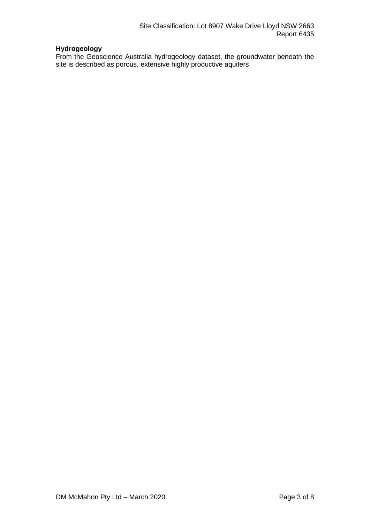# **Hydrogeology**

From the Geoscience Australia hydrogeology dataset, the groundwater beneath the site is described as porous, extensive highly productive aquifers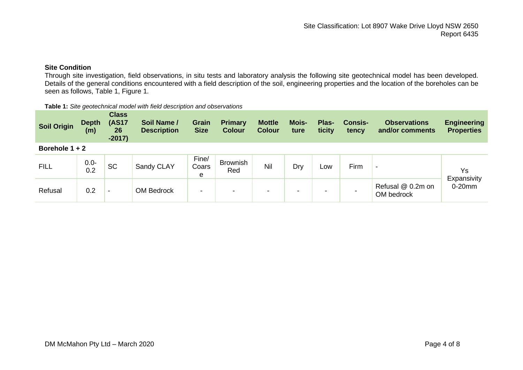# **Site Condition**

Through site investigation, field observations, in situ tests and laboratory analysis the following site geotechnical model has been developed. Details of the general conditions encountered with a field description of the soil, engineering properties and the location of the boreholes can be seen as follows, Table 1, Figure 1.

#### **Table 1:** *Site geotechnical model with field description and observations*

| <b>Soil Origin</b> | <b>Depth</b><br>(m) | <b>Class</b><br><b>(AS17</b><br>26<br>$-2017)$ | Soil Name /<br><b>Description</b> | <b>Grain</b><br><b>Size</b> | <b>Primary</b><br><b>Colour</b> | <b>Mottle</b><br><b>Colour</b> | <b>Mois-</b><br>ture     | Plas-<br>ticity | <b>Consis-</b><br>tency | <b>Observations</b><br>and/or comments | <b>Engineering</b><br><b>Properties</b> |
|--------------------|---------------------|------------------------------------------------|-----------------------------------|-----------------------------|---------------------------------|--------------------------------|--------------------------|-----------------|-------------------------|----------------------------------------|-----------------------------------------|
| Borehole $1 + 2$   |                     |                                                |                                   |                             |                                 |                                |                          |                 |                         |                                        |                                         |
| <b>FILL</b>        | $0.0 -$<br>0.2      | <b>SC</b>                                      | Sandy CLAY                        | Fine/<br>Coars<br>e         | <b>Brownish</b><br>Red          | Nil                            | Dry                      | LOW             | Firm                    | $\blacksquare$                         | Ys<br>Expansivity                       |
| Refusal            | 0.2                 | $\overline{\phantom{0}}$                       | <b>OM Bedrock</b>                 | $\blacksquare$              | $\,$                            | -                              | $\overline{\phantom{a}}$ | -               |                         | Refusal @ 0.2m on<br>OM bedrock        | $0-20$ mm                               |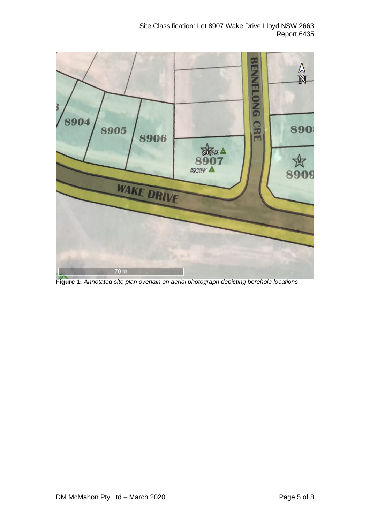|                           |                                                                                                                                                                                                                                                                                                                                                                                                                                             | <b>BENNELONG</b> | $\frac{\lambda}{\mathbb{N}}$ |
|---------------------------|---------------------------------------------------------------------------------------------------------------------------------------------------------------------------------------------------------------------------------------------------------------------------------------------------------------------------------------------------------------------------------------------------------------------------------------------|------------------|------------------------------|
| 3<br>8904<br>8905<br>8906 | $\begin{array}{c}\n\text{R} & \text{R} \\ \text{R} & \text{R} \\ \text{R} & \text{R} \\ \text{R} & \text{R} \\ \text{R} & \text{R} \\ \text{R} & \text{R} \\ \text{R} & \text{R} \\ \text{R} & \text{R} \\ \text{R} & \text{R} \\ \text{R} & \text{R} \\ \text{R} & \text{R} \\ \text{R} & \text{R} \\ \text{R} & \text{R} \\ \text{R} & \text{R} \\ \text{R} & \text{R} \\ \text{R} & \text{R} \\ \text{R} & \text{R} \\ \text{R} & \text$ | <b>CRE</b>       | 890<br>欢<br>8909             |
| <b>WAKE DRIVE</b>         |                                                                                                                                                                                                                                                                                                                                                                                                                                             |                  |                              |
| 70 <sub>m</sub>           |                                                                                                                                                                                                                                                                                                                                                                                                                                             |                  |                              |

**Figure 1:** *Annotated site plan overlain on aerial photograph depicting borehole locations*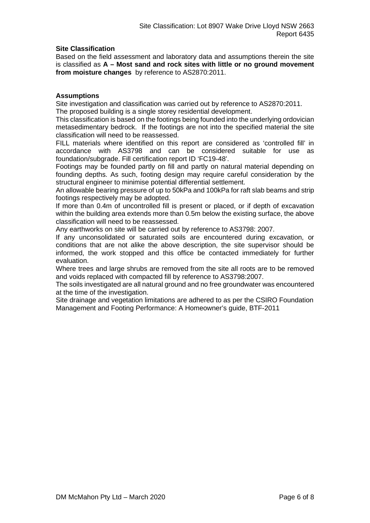# **Site Classification**

Based on the field assessment and laboratory data and assumptions therein the site is classified as **A – Most sand and rock sites with little or no ground movement from moisture changes** by reference to AS2870:2011.

# **Assumptions**

Site investigation and classification was carried out by reference to AS2870:2011. The proposed building is a single storey residential development.

This classification is based on the footings being founded into the underlying ordovician metasedimentary bedrock. If the footings are not into the specified material the site classification will need to be reassessed.

FILL materials where identified on this report are considered as 'controlled fill' in accordance with AS3798 and can be considered suitable for use as foundation/subgrade. Fill certification report ID 'FC19-48'.

Footings may be founded partly on fill and partly on natural material depending on founding depths. As such, footing design may require careful consideration by the structural engineer to minimise potential differential settlement.

An allowable bearing pressure of up to 50kPa and 100kPa for raft slab beams and strip footings respectively may be adopted.

If more than 0.4m of uncontrolled fill is present or placed, or if depth of excavation within the building area extends more than 0.5m below the existing surface, the above classification will need to be reassessed.

Any earthworks on site will be carried out by reference to AS3798: 2007.

If any unconsolidated or saturated soils are encountered during excavation, or conditions that are not alike the above description, the site supervisor should be informed, the work stopped and this office be contacted immediately for further evaluation.

Where trees and large shrubs are removed from the site all roots are to be removed and voids replaced with compacted fill by reference to AS3798:2007.

The soils investigated are all natural ground and no free groundwater was encountered at the time of the investigation.

Site drainage and vegetation limitations are adhered to as per the CSIRO Foundation Management and Footing Performance: A Homeowner's guide, BTF-2011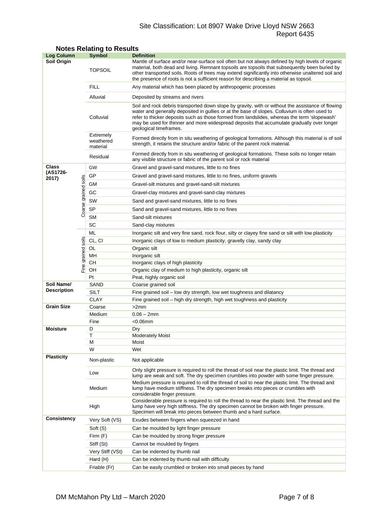# Site Classification: Lot 8907 Wake Drive Lloyd NSW 2663 Report 6435

| <b>Log Column</b>  |                      | <b>Symbol</b>                                                                                                                                                                                                              | <b>Definition</b>                                                                                                                                                                                                                                                                                                                                                                                                          |  |  |  |  |
|--------------------|----------------------|----------------------------------------------------------------------------------------------------------------------------------------------------------------------------------------------------------------------------|----------------------------------------------------------------------------------------------------------------------------------------------------------------------------------------------------------------------------------------------------------------------------------------------------------------------------------------------------------------------------------------------------------------------------|--|--|--|--|
| Soil Origin        |                      | <b>TOPSOIL</b>                                                                                                                                                                                                             | Mantle of surface and/or near-surface soil often but not always defined by high levels of organic<br>material, both dead and living. Remnant topsoils are topsoils that subsequently been buried by<br>other transported soils. Roots of trees may extend significantly into otherwise unaltered soil and<br>the presence of roots is not a sufficient reason for describing a material as topsoil.                        |  |  |  |  |
|                    |                      | <b>FILL</b>                                                                                                                                                                                                                | Any material which has been placed by anthropogenic processes                                                                                                                                                                                                                                                                                                                                                              |  |  |  |  |
|                    |                      | Alluvial                                                                                                                                                                                                                   | Deposited by streams and rivers                                                                                                                                                                                                                                                                                                                                                                                            |  |  |  |  |
|                    |                      | Colluvial                                                                                                                                                                                                                  | Soil and rock debris transported down slope by gravity, with or without the assistance of flowing<br>water and generally deposited in gullies or at the base of slopes. Colluvium is often used to<br>refer to thicker deposits such as those formed from landslides, whereas the term 'slopewash'<br>may be used for thinner and more widespread deposits that accumulate gradually over longer<br>geological timeframes. |  |  |  |  |
|                    |                      | Extremely<br>Formed directly from in situ weathering of geological formations. Although this material is of soil<br>weathered<br>strength, it retains the structure and/or fabric of the parent rock material.<br>material |                                                                                                                                                                                                                                                                                                                                                                                                                            |  |  |  |  |
|                    |                      | Residual                                                                                                                                                                                                                   | Formed directly from in situ weathering of geological formations. These soils no longer retain<br>any visible structure or fabric of the parent soil or rock material                                                                                                                                                                                                                                                      |  |  |  |  |
| Class              |                      | GW                                                                                                                                                                                                                         | Gravel and gravel-sand mixtures, little to no fines                                                                                                                                                                                                                                                                                                                                                                        |  |  |  |  |
| (AS1726-           |                      | GP                                                                                                                                                                                                                         | Gravel and gravel-sand mixtures, little to no fines, uniform gravels                                                                                                                                                                                                                                                                                                                                                       |  |  |  |  |
| 2017)              |                      | GМ                                                                                                                                                                                                                         | Gravel-silt mixtures and gravel-sand-silt mixtures                                                                                                                                                                                                                                                                                                                                                                         |  |  |  |  |
|                    |                      | GC                                                                                                                                                                                                                         | Gravel-clay mixtures and gravel-sand-clay mixtures                                                                                                                                                                                                                                                                                                                                                                         |  |  |  |  |
|                    |                      | SW                                                                                                                                                                                                                         |                                                                                                                                                                                                                                                                                                                                                                                                                            |  |  |  |  |
|                    | Coarse grained soils |                                                                                                                                                                                                                            | Sand and gravel-sand mixtures, little to no fines                                                                                                                                                                                                                                                                                                                                                                          |  |  |  |  |
|                    |                      | <b>SP</b>                                                                                                                                                                                                                  | Sand and gravel-sand mixtures, little to no fines                                                                                                                                                                                                                                                                                                                                                                          |  |  |  |  |
|                    |                      | <b>SM</b>                                                                                                                                                                                                                  | Sand-silt mixtures                                                                                                                                                                                                                                                                                                                                                                                                         |  |  |  |  |
|                    |                      | SC                                                                                                                                                                                                                         | Sand-clay mixtures                                                                                                                                                                                                                                                                                                                                                                                                         |  |  |  |  |
|                    |                      | ML                                                                                                                                                                                                                         | Inorganic silt and very fine sand, rock flour, silty or clayey fine sand or silt with low plasticity                                                                                                                                                                                                                                                                                                                       |  |  |  |  |
|                    | soils                | CL, CI                                                                                                                                                                                                                     | Inorganic clays of low to medium plasticity, gravelly clay, sandy clay                                                                                                                                                                                                                                                                                                                                                     |  |  |  |  |
|                    |                      | OL                                                                                                                                                                                                                         | Organic silt                                                                                                                                                                                                                                                                                                                                                                                                               |  |  |  |  |
|                    |                      | MН<br>CН                                                                                                                                                                                                                   | Inorganic silt<br>Inorganic clays of high plasticity                                                                                                                                                                                                                                                                                                                                                                       |  |  |  |  |
|                    | Fine grained         | OН                                                                                                                                                                                                                         | Organic clay of medium to high plasticity, organic silt                                                                                                                                                                                                                                                                                                                                                                    |  |  |  |  |
|                    |                      | Pt                                                                                                                                                                                                                         | Peat, highly organic soil                                                                                                                                                                                                                                                                                                                                                                                                  |  |  |  |  |
| Soil Name/         |                      | SAND                                                                                                                                                                                                                       | Coarse grained soil                                                                                                                                                                                                                                                                                                                                                                                                        |  |  |  |  |
| <b>Description</b> |                      | SILT                                                                                                                                                                                                                       | Fine grained soil - low dry strength, low wet toughness and dilatancy                                                                                                                                                                                                                                                                                                                                                      |  |  |  |  |
|                    |                      | <b>CLAY</b>                                                                                                                                                                                                                | Fine grained soil - high dry strength, high wet toughness and plasticity                                                                                                                                                                                                                                                                                                                                                   |  |  |  |  |
| <b>Grain Size</b>  |                      | Coarse                                                                                                                                                                                                                     | >2mm                                                                                                                                                                                                                                                                                                                                                                                                                       |  |  |  |  |
|                    |                      | Medium                                                                                                                                                                                                                     | $0.06 - 2mm$                                                                                                                                                                                                                                                                                                                                                                                                               |  |  |  |  |
|                    |                      | Fine                                                                                                                                                                                                                       | $<$ 0.06 $<$ mm                                                                                                                                                                                                                                                                                                                                                                                                            |  |  |  |  |
| <b>Moisture</b>    |                      | D                                                                                                                                                                                                                          | Dry                                                                                                                                                                                                                                                                                                                                                                                                                        |  |  |  |  |
|                    |                      | Т                                                                                                                                                                                                                          | <b>Moderately Moist</b>                                                                                                                                                                                                                                                                                                                                                                                                    |  |  |  |  |
|                    |                      | М                                                                                                                                                                                                                          | Moist                                                                                                                                                                                                                                                                                                                                                                                                                      |  |  |  |  |
|                    |                      | W                                                                                                                                                                                                                          | Wet                                                                                                                                                                                                                                                                                                                                                                                                                        |  |  |  |  |
| <b>Plasticity</b>  |                      | Non-plastic                                                                                                                                                                                                                | Not applicable                                                                                                                                                                                                                                                                                                                                                                                                             |  |  |  |  |
|                    |                      | Low                                                                                                                                                                                                                        | Only slight pressure is required to roll the thread of soil near the plastic limit. The thread and<br>lump are weak and soft. The dry specimen crumbles into powder with some finger pressure.                                                                                                                                                                                                                             |  |  |  |  |
|                    |                      | Medium                                                                                                                                                                                                                     | Medium pressure is required to roll the thread of soil to near the plastic limit. The thread and<br>lump have medium stiffness. The dry specimen breaks into pieces or crumbles with<br>considerable finger pressure.                                                                                                                                                                                                      |  |  |  |  |
|                    |                      | High                                                                                                                                                                                                                       | Considerable pressure is required to roll the thread to near the plastic limit. The thread and the<br>lump have very high stiffness. The dry specimen cannot be broken with finger pressure.<br>Specimen will break into pieces between thumb and a hard surface.                                                                                                                                                          |  |  |  |  |
| Consistency        |                      | Very Soft (VS)                                                                                                                                                                                                             | Exudes between fingers when squeezed in hand                                                                                                                                                                                                                                                                                                                                                                               |  |  |  |  |
|                    |                      | Soft (S)                                                                                                                                                                                                                   | Can be moulded by light finger pressure                                                                                                                                                                                                                                                                                                                                                                                    |  |  |  |  |
|                    |                      | Firm (F)                                                                                                                                                                                                                   | Can be moulded by strong finger pressure                                                                                                                                                                                                                                                                                                                                                                                   |  |  |  |  |
|                    |                      | Stiff (St)                                                                                                                                                                                                                 | Cannot be moulded by fingers                                                                                                                                                                                                                                                                                                                                                                                               |  |  |  |  |
|                    |                      | Very Stiff (VSt)                                                                                                                                                                                                           | Can be indented by thumb nail                                                                                                                                                                                                                                                                                                                                                                                              |  |  |  |  |
|                    |                      | Hard (H)                                                                                                                                                                                                                   | Can be indented by thumb nail with difficulty                                                                                                                                                                                                                                                                                                                                                                              |  |  |  |  |
|                    |                      | Friable (Fr)                                                                                                                                                                                                               | Can be easily crumbled or broken into small pieces by hand                                                                                                                                                                                                                                                                                                                                                                 |  |  |  |  |

# **Notes Relating to Results**